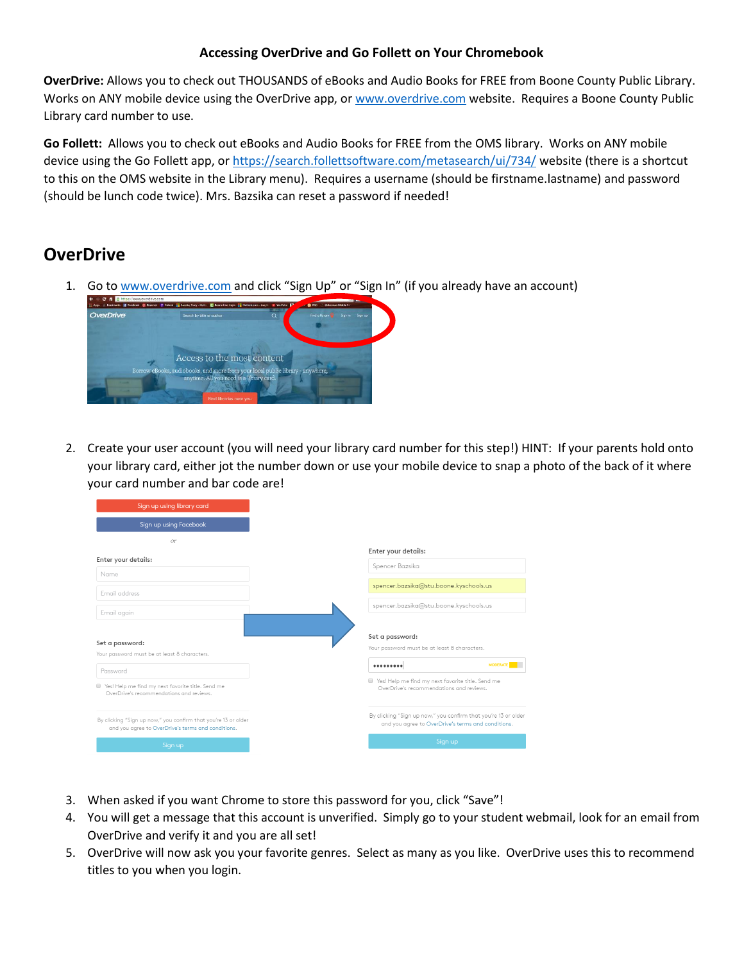## **Accessing OverDrive and Go Follett on Your Chromebook**

**OverDrive:** Allows you to check out THOUSANDS of eBooks and Audio Books for FREE from Boone County Public Library. Works on ANY mobile device using the OverDrive app, o[r www.overdrive.com](http://www.overdrive.com/) website. Requires a Boone County Public Library card number to use.

**Go Follett:** Allows you to check out eBooks and Audio Books for FREE from the OMS library. Works on ANY mobile device using the Go Follett app, o[r https://search.follettsoftware.com/metasearch/ui/734/](https://search.follettsoftware.com/metasearch/ui/734/) website (there is a shortcut to this on the OMS website in the Library menu). Requires a username (should be firstname.lastname) and password (should be lunch code twice). Mrs. Bazsika can reset a password if needed!

## **OverDrive**

1. Go to [www.overdrive.com](http://www.overdrive.com/) and click "Sign Up" or "Sign In" (if you already have an account)



2. Create your user account (you will need your library card number for this step!) HINT: If your parents hold onto your library card, either jot the number down or use your mobile device to snap a photo of the back of it where your card number and bar code are!

| Sign up using library card                                                                                           |
|----------------------------------------------------------------------------------------------------------------------|
| Sign up using Facebook                                                                                               |
| Oľ                                                                                                                   |
| Enter your details:                                                                                                  |
| Name                                                                                                                 |
| Email address                                                                                                        |
| Email again                                                                                                          |
|                                                                                                                      |
| Set a password:                                                                                                      |
| Your password must be at least 8 characters.                                                                         |
| Password                                                                                                             |
| Yes! Help me find my next favorite title. Send me<br>OverDrive's recommendations and reviews.                        |
| By clicking "Sign up now," you confirm that you're 13 or older<br>and you agree to OverDrive's terms and conditions. |
| Sign up                                                                                                              |

- 3. When asked if you want Chrome to store this password for you, click "Save"!
- 4. You will get a message that this account is unverified. Simply go to your student webmail, look for an email from OverDrive and verify it and you are all set!
- 5. OverDrive will now ask you your favorite genres. Select as many as you like. OverDrive uses this to recommend titles to you when you login.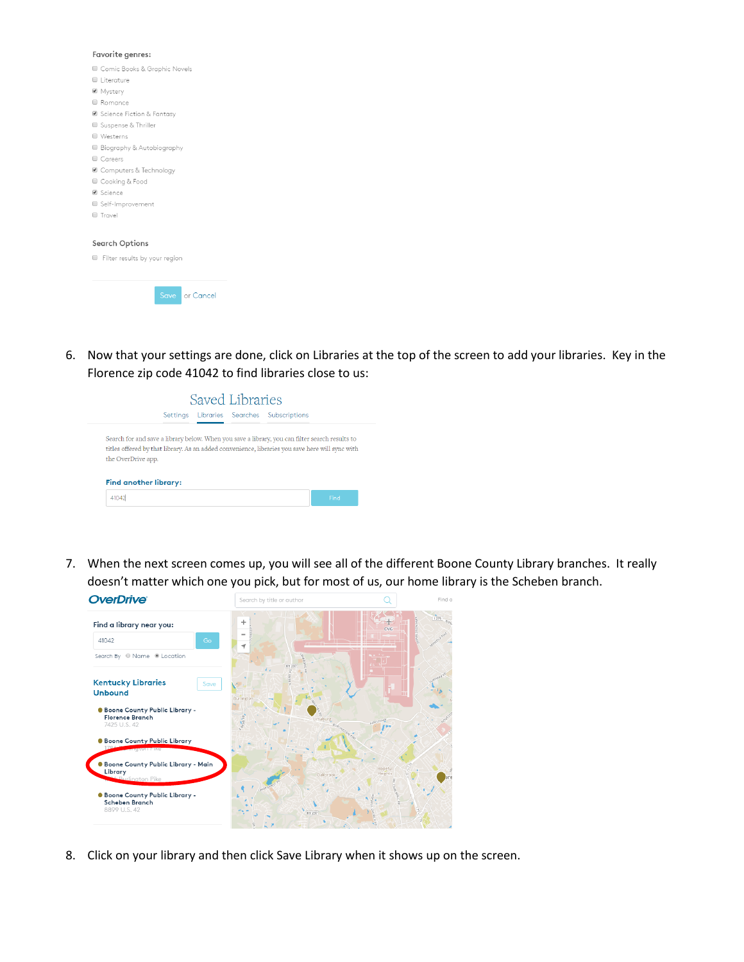| Favorite genres:                   |  |  |  |  |
|------------------------------------|--|--|--|--|
| Comic Books & Graphic Novels       |  |  |  |  |
| Literature                         |  |  |  |  |
| ■ Mystery                          |  |  |  |  |
| Romance                            |  |  |  |  |
| ■ Science Fiction & Fantasy        |  |  |  |  |
| Suspense & Thriller                |  |  |  |  |
| Westerns<br>o                      |  |  |  |  |
| Biography & Autobiography          |  |  |  |  |
| Careers<br>□                       |  |  |  |  |
| ■ Computers & Technology           |  |  |  |  |
| Cooking & Food                     |  |  |  |  |
| ■ Science                          |  |  |  |  |
| Self-Improvement                   |  |  |  |  |
| Travel<br>□                        |  |  |  |  |
|                                    |  |  |  |  |
| Search Options                     |  |  |  |  |
| Filter results by your region<br>o |  |  |  |  |
|                                    |  |  |  |  |
| Save<br>or Cancel                  |  |  |  |  |
|                                    |  |  |  |  |

6. Now that your settings are done, click on Libraries at the top of the screen to add your libraries. Key in the Florence zip code 41042 to find libraries close to us:

|                              | Settings | Libraries Searches | Subscriptions                                                                                                                                                                                     |  |
|------------------------------|----------|--------------------|---------------------------------------------------------------------------------------------------------------------------------------------------------------------------------------------------|--|
| the OverDrive app.           |          |                    | Search for and save a library below. When you save a library, you can filter search results to<br>titles offered by that library. As an added convenience, libraries you save here will sync with |  |
| <b>Find another library:</b> |          |                    |                                                                                                                                                                                                   |  |

7. When the next screen comes up, you will see all of the different Boone County Library branches. It really doesn't matter which one you pick, but for most of us, our home library is the Scheben branch.



8. Click on your library and then click Save Library when it shows up on the screen.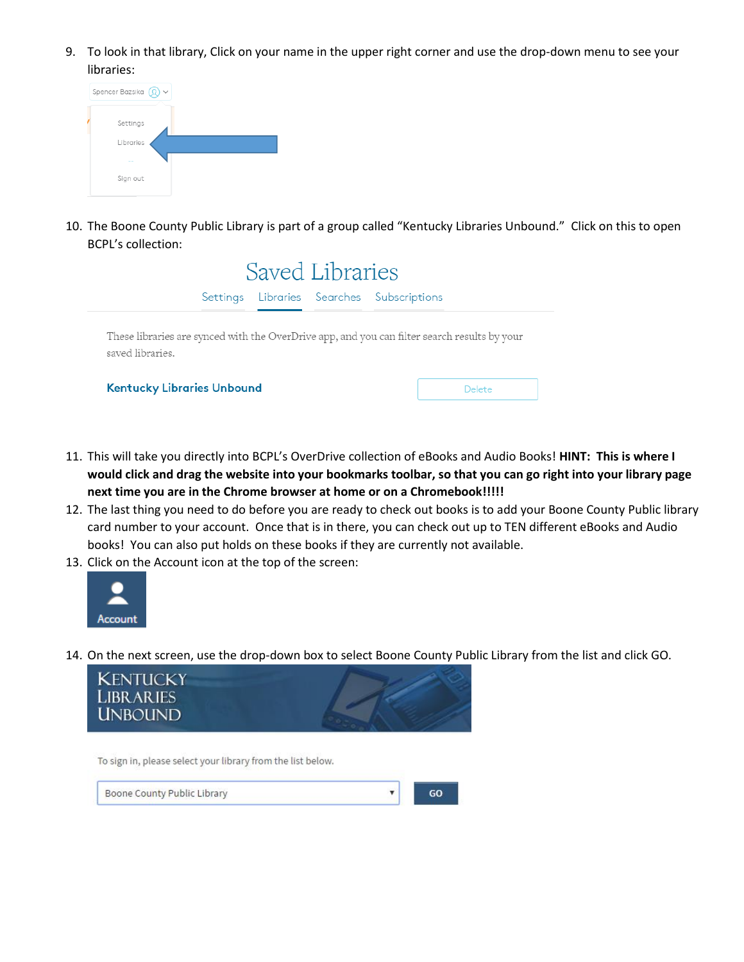9. To look in that library, Click on your name in the upper right corner and use the drop-down menu to see your libraries:



10. The Boone County Public Library is part of a group called "Kentucky Libraries Unbound." Click on this to open BCPL's collection:



- 11. This will take you directly into BCPL's OverDrive collection of eBooks and Audio Books! **HINT: This is where I would click and drag the website into your bookmarks toolbar, so that you can go right into your library page next time you are in the Chrome browser at home or on a Chromebook!!!!!**
- 12. The last thing you need to do before you are ready to check out books is to add your Boone County Public library card number to your account. Once that is in there, you can check out up to TEN different eBooks and Audio books! You can also put holds on these books if they are currently not available.
- 13. Click on the Account icon at the top of the screen:



14. On the next screen, use the drop-down box to select Boone County Public Library from the list and click GO.



To sign in, please select your library from the list below.

Boone County Public Library

GO

 $\mathbf{v}$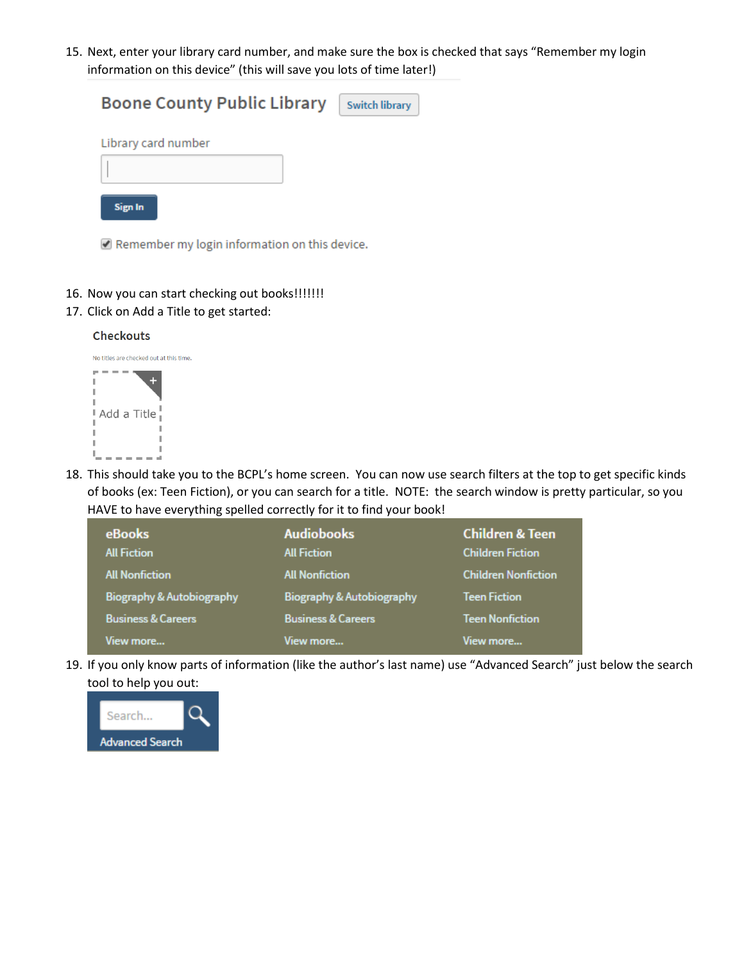15. Next, enter your library card number, and make sure the box is checked that says "Remember my login information on this device" (this will save you lots of time later!)

| <b>Boone County Public Library</b> | <b>Switch library</b> |
|------------------------------------|-----------------------|
| Library card number                |                       |
|                                    |                       |
|                                    |                       |
| Sign In                            |                       |

Remember my login information on this device.

- 16. Now you can start checking out books!!!!!!!
- 17. Click on Add a Title to get started:



18. This should take you to the BCPL's home screen. You can now use search filters at the top to get specific kinds of books (ex: Teen Fiction), or you can search for a title. NOTE: the search window is pretty particular, so you HAVE to have everything spelled correctly for it to find your book!

| <b>eBooks</b><br><b>All Fiction</b> | <b>Audiobooks</b><br><b>All Fiction</b> | <b>Children &amp; Teen</b><br><b>Children Fiction</b> |
|-------------------------------------|-----------------------------------------|-------------------------------------------------------|
| <b>All Nonfiction</b>               | <b>All Nonfiction</b>                   | <b>Children Nonfiction</b>                            |
| Biography & Autobiography           | Biography & Autobiography               | <b>Teen Fiction</b>                                   |
| <b>Business &amp; Careers</b>       | <b>Business &amp; Careers</b>           | <b>Teen Nonfiction</b>                                |
| View more                           | View more                               | View more                                             |

19. If you only know parts of information (like the author's last name) use "Advanced Search" just below the search tool to help you out:

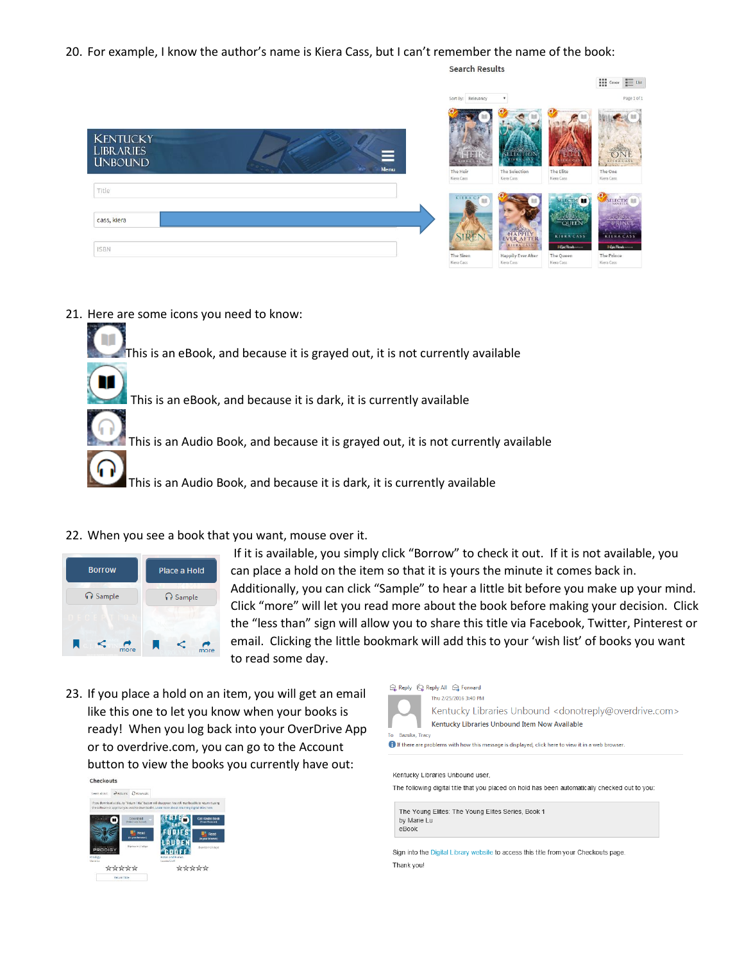20. For example, I know the author's name is Kiera Cass, but I can't remember the name of the book:

 $\begin{tabular}{|c|c|c|} \hline \textbf{111} & \textbf{Cover} & \textbf{I} \overline{\textbf{12}} & \textbf{List} \\ \hline \textbf{121} & \textbf{Cover} & \textbf{I} \overline{\textbf{23}} & \textbf{List} \\ \hline \end{tabular}$ Page 1 of 1 **ANGELIA DE KENTUCKY** LIBRARIES **UNBOUND** The One Title SELECTIC π cass, kiera KIERA CASS

21. Here are some icons you need to know:

**ISBN** 

This is an eBook, and because it is grayed out, it is not currently available This is an eBook, and because it is dark, it is currently available This is an Audio Book, and because it is grayed out, it is not currently available

This is an Audio Book, and because it is dark, it is currently available

22. When you see a book that you want, mouse over it.



If it is available, you simply click "Borrow" to check it out. If it is not available, you can place a hold on the item so that it is yours the minute it comes back in. Additionally, you can click "Sample" to hear a little bit before you make up your mind. Click "more" will let you read more about the book before making your decision. Click the "less than" sign will allow you to share this title via Facebook, Twitter, Pinterest or email. Clicking the little bookmark will add this to your 'wish list' of books you want to read some day.

**Search Results** 

The Prince

23. If you place a hold on an item, you will get an email like this one to let you know when your books is ready! When you log back into your OverDrive App or to overdrive.com, you can go to the Account button to view the books you currently have out:Checkouts